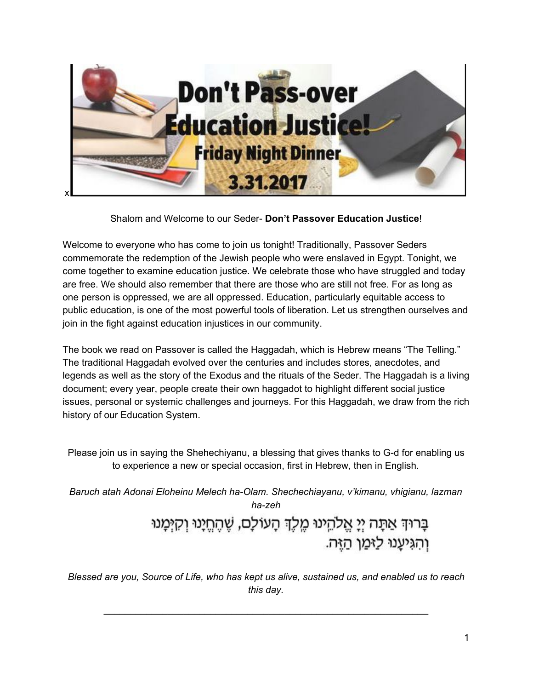

#### Shalom and Welcome to our Seder- **Don't Passover Education Justice**!

Welcome to everyone who has come to join us tonight! Traditionally, Passover Seders commemorate the redemption of the Jewish people who were enslaved in Egypt. Tonight, we come together to examine education justice. We celebrate those who have struggled and today are free. We should also remember that there are those who are still not free. For as long as one person is oppressed, we are all oppressed. Education, particularly equitable access to public education, is one of the most powerful tools of liberation. Let us strengthen ourselves and join in the fight against education injustices in our community.

The book we read on Passover is called the Haggadah, which is Hebrew means "The Telling." The traditional Haggadah evolved over the centuries and includes stores, anecdotes, and legends as well as the story of the Exodus and the rituals of the Seder. The Haggadah is a living document; every year, people create their own haggadot to highlight different social justice issues, personal or systemic challenges and journeys. For this Haggadah, we draw from the rich history of our Education System.

Please join us in saying the Shehechiyanu, a blessing that gives thanks to G-d for enabling us to experience a new or special occasion, first in Hebrew, then in English.

*Baruch atah Adonai Eloheinu Melech ha-Olam. Shechechiayanu, v'kimanu, vhigianu, lazman ha-zeh*

> בָרוּךְ אַתָּה יְיָ אֱלֹהֵינוּ מֶלֶךְ הָעוֹלָם, שֶׁהֶחֱיָנוּ וְקִיִּמְנוּ וְהִגִּיעָנוּ לַזּמַן הַזֵּה.

*Blessed are you, Source of Life, who has kept us alive, sustained us, and enabled us to reach this day.*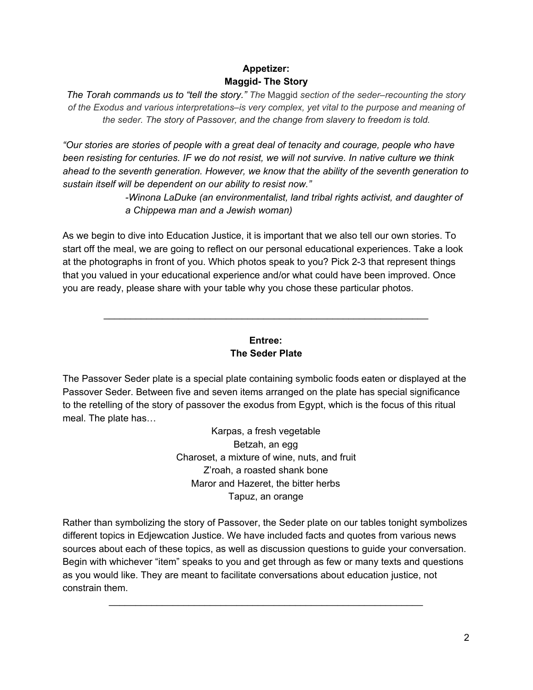# **Appetizer: Maggid- The Story**

*The Torah commands us to "tell the story." The* Maggid *section of the seder–recounting the story of the Exodus and various interpretations–is very complex, yet vital to the purpose and meaning of the seder. The story of Passover, and the change from slavery to freedom is told.*

*"Our stories are stories of people with a great deal of tenacity and courage, people who have been resisting for centuries. IF we do not resist, we will not survive. In native culture we think ahead to the seventh generation. However, we know that the ability of the seventh generation to sustain itself will be dependent on our ability to resist now."*

> *-Winona LaDuke (an environmentalist, land tribal rights activist, and daughter of a Chippewa man and a Jewish woman)*

As we begin to dive into Education Justice, it is important that we also tell our own stories. To start off the meal, we are going to reflect on our personal educational experiences. Take a look at the photographs in front of you. Which photos speak to you? Pick 2-3 that represent things that you valued in your educational experience and/or what could have been improved. Once you are ready, please share with your table why you chose these particular photos.

## **Entree: The Seder Plate**

\_\_\_\_\_\_\_\_\_\_\_\_\_\_\_\_\_\_\_\_\_\_\_\_\_\_\_\_\_\_\_\_\_\_\_\_\_\_\_\_\_\_\_\_\_\_\_\_\_\_\_\_\_\_\_\_\_\_\_\_\_

The Passover Seder plate is a special plate containing symbolic foods eaten or displayed at the Passover Seder. Between five and seven items arranged on the plate has special significance to the retelling of the story of passover the exodus from Egypt, which is the focus of this ritual meal. The plate has…

> Karpas, a fresh vegetable Betzah, an egg Charoset, a mixture of wine, nuts, and fruit Z'roah, a roasted shank bone Maror and Hazeret, the bitter herbs Tapuz, an orange

Rather than symbolizing the story of Passover, the Seder plate on our tables tonight symbolizes different topics in Edjewcation Justice. We have included facts and quotes from various news sources about each of these topics, as well as discussion questions to guide your conversation. Begin with whichever "item" speaks to you and get through as few or many texts and questions as you would like. They are meant to facilitate conversations about education justice, not constrain them.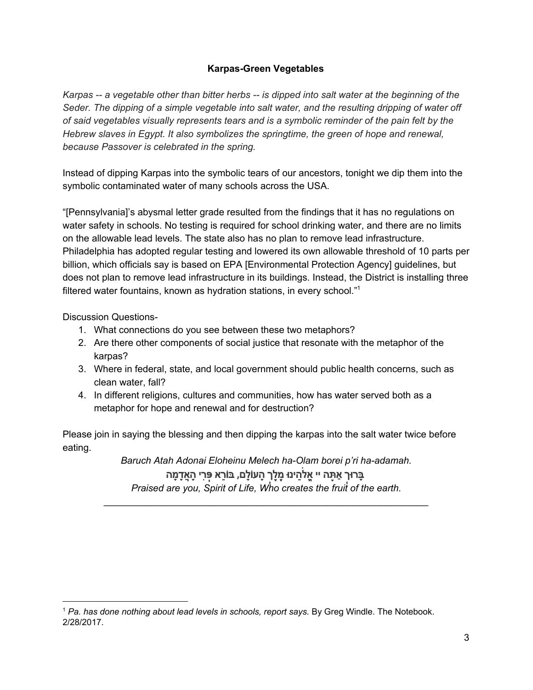## **Karpas-Green Vegetables**

Karpas -- a vegetable other than bitter herbs -- is dipped into salt water at the beginning of the *Seder. The dipping of a simple vegetable into salt water, and the resulting dripping of water off of said vegetables visually represents tears and is a symbolic reminder of the pain felt by the Hebrew slaves in Egypt. It also symbolizes the springtime, the green of hope and renewal, because Passover is celebrated in the spring.*

Instead of dipping Karpas into the symbolic tears of our ancestors, tonight we dip them into the symbolic contaminated water of many schools across the USA.

"[Pennsylvania]'s abysmal letter grade resulted from the findings that it has no regulations on water safety in schools. No testing is required for school drinking water, and there are no limits on the allowable lead levels. The state also has no plan to remove lead infrastructure. Philadelphia has adopted regular testing and lowered its own allowable threshold of 10 parts per billion, which officials say is based on EPA [Environmental Protection Agency] guidelines, but does not plan to remove lead infrastructure in its buildings. Instead, the District is installing three filtered water fountains, known as hydration stations, in every school." 1

Discussion Questions-

- 1. What connections do you see between these two metaphors?
- 2. Are there other components of social justice that resonate with the metaphor of the karpas?
- 3. Where in federal, state, and local government should public health concerns, such as clean water, fall?
- 4. In different religions, cultures and communities, how has water served both as a metaphor for hope and renewal and for destruction?

Please join in saying the blessing and then dipping the karpas into the salt water twice before eating.

> *Baruch Atah Adonai Eloheinu Melech ha-Olam borei p'ri ha-adamah.* ָבָּרוּך<mark>ְ אַתָּה יי אֱלֹהֵינוּ מֶלֶךְ הָעוֹלָם, בּוֹרֵא פְּרִי הָאֲדָמָה</mark> *Praised are you, Spirit of Life, Who creates the fruit of the earth.*

<sup>1</sup> *Pa. has done nothing about lead levels in schools, report says.* By Greg Windle. The Notebook. 2/28/2017.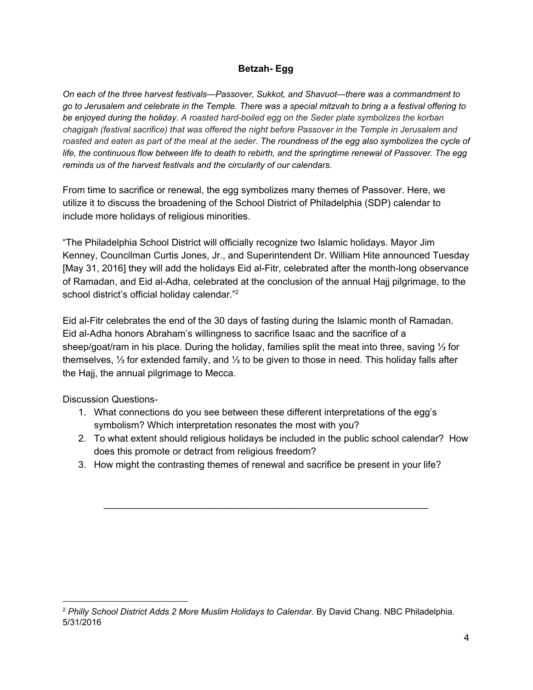#### **Betzah- Egg**

*On each of the three harvest festivals—Passover, Sukkot, and Shavuot—there was a commandment to* go to Jerusalem and celebrate in the Temple. There was a special mitzvah to bring a a festival offering to *be enjoyed during the holiday. A roasted hard-boiled egg on the Seder plate symbolizes the korban chagigah (festival sacrifice) that was offered the night before Passover in the Temple in Jerusalem and* roasted and eaten as part of the meal at the seder. The roundness of the egg also symbolizes the cycle of life, the continuous flow between life to death to rebirth, and the springtime renewal of Passover. The egg *reminds us of the harvest festivals and the circularity of our calendars.*

From time to sacrifice or renewal, the egg symbolizes many themes of Passover. Here, we utilize it to discuss the broadening of the School District of Philadelphia (SDP) calendar to include more holidays of religious minorities.

"The Philadelphia School District will officially recognize two Islamic holidays. Mayor Jim Kenney, Councilman Curtis Jones, Jr., and Superintendent Dr. William Hite announced Tuesday [May 31, 2016] they will add the holidays Eid al-Fitr, celebrated after the month-long observance of Ramadan, and Eid al-Adha, celebrated at the conclusion of the annual Hajj pilgrimage, to the school district's official holiday calendar."<sup>2</sup>

Eid al-Fitr celebrates the end of the 30 days of fasting during the Islamic month of Ramadan. Eid al-Adha honors Abraham's willingness to sacrifice Isaac and the sacrifice of a sheep/goat/ram in his place. During the holiday, families split the meat into three, saving ⅓ for themselves, ⅓ for extended family, and ⅓ to be given to those in need. This holiday falls after the Hajj, the annual pilgrimage to Mecca.

Discussion Questions-

- 1. What connections do you see between these different interpretations of the egg's symbolism? Which interpretation resonates the most with you?
- 2. To what extent should religious holidays be included in the public school calendar? How does this promote or detract from religious freedom?
- 3. How might the contrasting themes of renewal and sacrifice be present in your life?

<sup>2</sup> *Philly School District Adds 2 More Muslim Holidays to Calendar*. By David Chang. NBC Philadelphia. 5/31/2016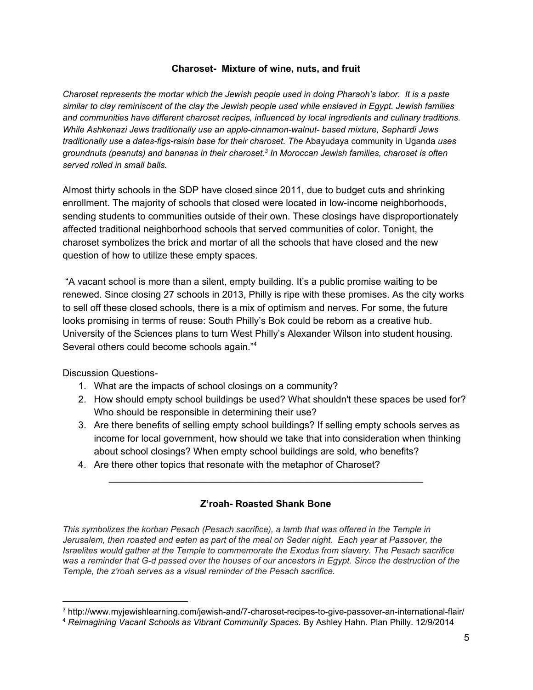#### **Charoset- Mixture of wine, nuts, and fruit**

*Charoset represents the mortar which the Jewish people used in doing Pharaoh's labor. It is a paste similar to clay reminiscent of the clay the Jewish people used while enslaved in Egypt. Jewish families and communities have different charoset recipes, influenced by local ingredients and culinary traditions. While Ashkenazi Jews traditionally use an apple-cinnamon-walnut- based mixture, Sephardi Jews traditionally use a dates-figs-raisin base for their charoset. The* Abayudaya community in Uganda *uses groundnuts (peanuts) and bananas in their charoset. In Moroccan Jewish families, charoset is often 3 served rolled in small balls.*

Almost thirty schools in the SDP have closed since 2011, due to budget cuts and shrinking enrollment. The majority of schools that closed were located in low-income neighborhoods, sending students to communities outside of their own. These closings have disproportionately affected traditional neighborhood schools that served communities of color. Tonight, the charoset symbolizes the brick and mortar of all the schools that have closed and the new question of how to utilize these empty spaces.

"A vacant school is more than a silent, empty building. It's a public promise waiting to be renewed. Since closing 27 schools in 2013, Philly is ripe with these promises. As the city works to sell off these closed schools, there is a mix of optimism and nerves. For some, the future looks promising in terms of reuse: South Philly's Bok could be reborn as a creative hub. University of the Sciences plans to turn West Philly's Alexander Wilson into student housing. Several others could become schools again."<sup>4</sup>

Discussion Questions-

- 1. What are the impacts of school closings on a community?
- 2. How should empty school buildings be used? What shouldn't these spaces be used for? Who should be responsible in determining their use?
- 3. Are there benefits of selling empty school buildings? If selling empty schools serves as income for local government, how should we take that into consideration when thinking about school closings? When empty school buildings are sold, who benefits?
- 4. Are there other topics that resonate with the metaphor of Charoset?

### **Z'roah- Roasted Shank Bone**

\_\_\_\_\_\_\_\_\_\_\_\_\_\_\_\_\_\_\_\_\_\_\_\_\_\_\_\_\_\_\_\_\_\_\_\_\_\_\_\_\_\_\_\_\_\_\_\_\_\_\_\_\_\_\_\_\_\_\_

*This symbolizes the korban Pesach (Pesach sacrifice), a lamb that was offered in the Temple in Jerusalem, then roasted and eaten as part of the meal on Seder night. Each year at Passover, the Israelites would gather at the Temple to commemorate the Exodus from slavery. The Pesach sacrifice* was a reminder that G-d passed over the houses of our ancestors in Egypt. Since the destruction of the *Temple, the z'roah serves as a visual reminder of the Pesach sacrifice.*

<sup>3</sup> http://www.myjewishlearning.com/jewish-and/7-charoset-recipes-to-give-passover-an-international-flair/

<sup>4</sup> *Reimagining Vacant Schools as Vibrant Community Spaces.* By Ashley Hahn. Plan Philly. 12/9/2014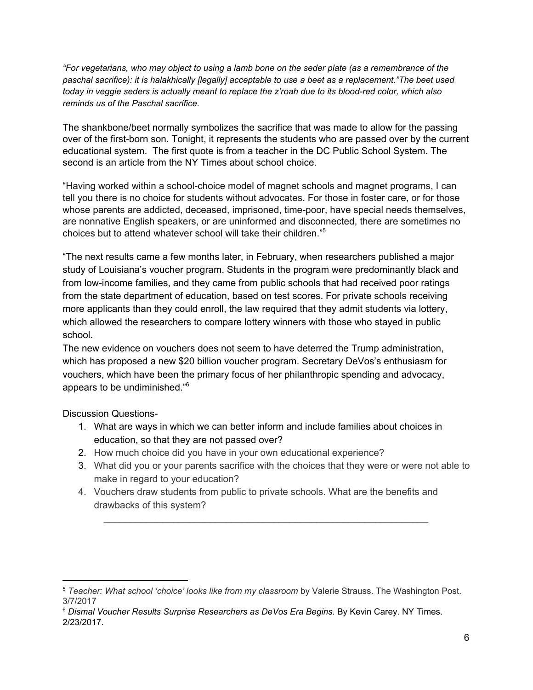"For vegetarians, who may object to using a lamb bone on the seder plate (as a remembrance of the *paschal sacrifice): it is halakhically [legally] acceptable to use a beet as a replacement."The beet used* today in veggie seders is actually meant to replace the z'roah due to its blood-red color, which also *reminds us of the Paschal sacrifice.*

The shankbone/beet normally symbolizes the sacrifice that was made to allow for the passing over of the first-born son. Tonight, it represents the students who are passed over by the current educational system. The first quote is from a teacher in the DC Public School System. The second is an article from the NY Times about school choice.

"Having worked within a school-choice model of magnet schools and magnet programs, I can tell you there is no choice for students without advocates. For those in foster care, or for those whose parents are addicted, deceased, imprisoned, time-poor, have special needs themselves, are nonnative English speakers, or are uninformed and disconnected, there are sometimes no choices but to attend whatever school will take their children." 5

"The next results came a few months later, in February, when researchers published a major study of Louisiana's voucher program. Students in the program were predominantly black and from low-income families, and they came from public schools that had received poor ratings from the state department of education, based on test scores. For private schools receiving more applicants than they could enroll, the law required that they admit students via lottery, which allowed the researchers to compare lottery winners with those who stayed in public school.

The new evidence on vouchers does not seem to have deterred the Trump administration, which has proposed a new \$20 billion voucher program. Secretary DeVos's enthusiasm for vouchers, which have been the primary focus of her philanthropic spending and advocacy, appears to be undiminished." 6

Discussion Questions-

- 1. What are ways in which we can better inform and include families about choices in education, so that they are not passed over?
- 2. How much choice did you have in your own educational experience?
- 3. What did you or your parents sacrifice with the choices that they were or were not able to make in regard to your education?
- 4. Vouchers draw students from public to private schools. What are the benefits and drawbacks of this system?

<sup>5</sup> *Teacher: What school 'choice' looks like from my classroom* by Valerie Strauss. The Washington Post. 3/7/2017

<sup>6</sup> *Dismal Voucher Results Surprise Researchers as DeVos Era Begins.* By Kevin Carey. NY Times. 2/23/2017.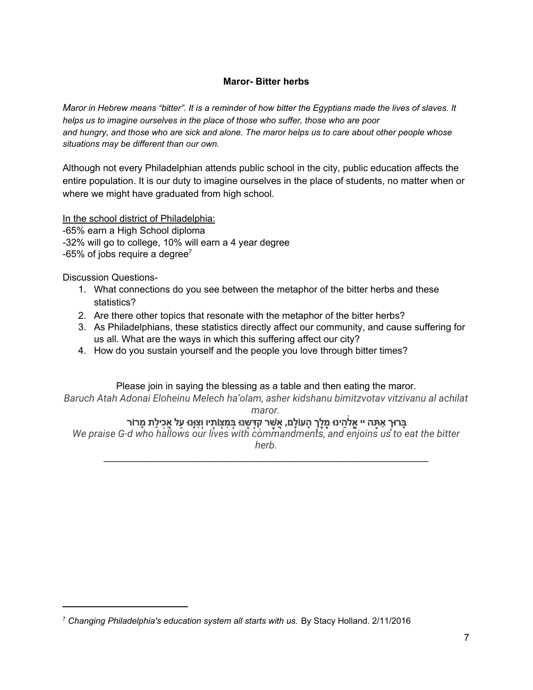## **Maror- Bitter herbs**

Maror in Hebrew means "bitter". It is a reminder of how bitter the Egyptians made the lives of slaves. It *helps us to imagine ourselves in the place of those who suffer, those who are poor* and hungry, and those who are sick and alone. The maror helps us to care about other people whose *situations may be different than our own.*

Although not every Philadelphian attends public school in the city, public education affects the entire population. It is our duty to imagine ourselves in the place of students, no matter when or where we might have graduated from high school.

In the school district of Philadelphia:

-65% earn a High School diploma -32% will go to college, 10% will earn a 4 year degree -65% of jobs require a degree<sup>7</sup>

Discussion Questions-

- 1. What connections do you see between the metaphor of the bitter herbs and these statistics?
- 2. Are there other topics that resonate with the metaphor of the bitter herbs?
- 3. As Philadelphians, these statistics directly affect our community, and cause suffering for us all. What are the ways in which this suffering affect our city?
- 4. How do you sustain yourself and the people you love through bitter times?

### Please join in saying the blessing as a table and then eating the maror.

*Baruch Atah Adonai Eloheinu Melech ha'olam, asher kidshanu bimitzvotav vitzivanu al achilat*

*maror.*

# ָבָרוּךְ אַתָּה יי אֱלֹהֵינוּ מֶלֶךְ הָעוֹלָם, אֲשֶׁר קִדְשָׁנוּ בְּמִצְוֹתָיו וְצִוָּנוּ עַל אֲכִילַת מָרוֹר

*We praise G-d who hallows our lives with commandments, and enjoins us to eat the bitter herb.* \_\_\_\_\_\_\_\_\_\_\_\_\_\_\_\_\_\_\_\_\_\_\_\_\_\_\_\_\_\_\_\_\_\_\_\_\_\_\_\_\_\_\_\_\_\_\_\_\_\_\_\_\_\_\_\_\_\_\_\_\_

<sup>7</sup> *Changing Philadelphia's education system all starts with us.* By Stacy Holland. 2/11/2016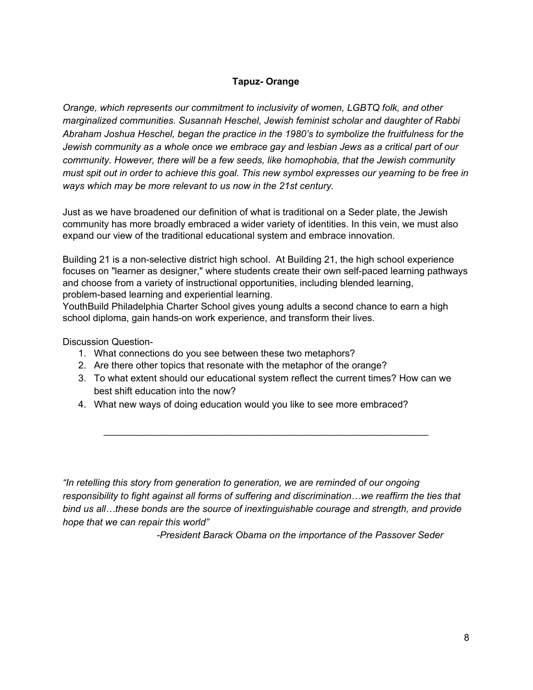## **Tapuz- Orange**

*Orange, which represents our commitment to inclusivity of women, LGBTQ folk, and other marginalized communities. Susannah Heschel, Jewish feminist scholar and daughter of Rabbi Abraham Joshua Heschel, began the practice in the 1980's to symbolize the fruitfulness for the Jewish community as a whole once we embrace gay and lesbian Jews as a critical part of our community. However, there will be a few seeds, like homophobia, that the Jewish community* must spit out in order to achieve this goal. This new symbol expresses our yearning to be free in *ways which may be more relevant to us now in the 21st century.*

Just as we have broadened our definition of what is traditional on a Seder plate, the Jewish community has more broadly embraced a wider variety of identities. In this vein, we must also expand our view of the traditional educational system and embrace innovation.

Building 21 is a non-selective district high school. At Building 21, the high school experience focuses on "learner as designer," where students create their own self-paced learning pathways and choose from a variety of instructional opportunities, including blended learning, problem-based learning and experiential learning.

YouthBuild Philadelphia Charter School gives young adults a second chance to earn a high school diploma, gain hands-on work experience, and transform their lives.

Discussion Question-

- 1. What connections do you see between these two metaphors?
- 2. Are there other topics that resonate with the metaphor of the orange?
- 3. To what extent should our educational system reflect the current times? How can we best shift education into the now?

\_\_\_\_\_\_\_\_\_\_\_\_\_\_\_\_\_\_\_\_\_\_\_\_\_\_\_\_\_\_\_\_\_\_\_\_\_\_\_\_\_\_\_\_\_\_\_\_\_\_\_\_\_\_\_\_\_\_\_\_\_

4. What new ways of doing education would you like to see more embraced?

*"In retelling this story from generation to generation, we are reminded of our ongoing responsibility to fight against all forms of suffering and discrimination…we reaffirm the ties that bind us all…these bonds are the source of inextinguishable courage and strength, and provide hope that we can repair this world"*

*-President Barack Obama on the importance of the Passover Seder*